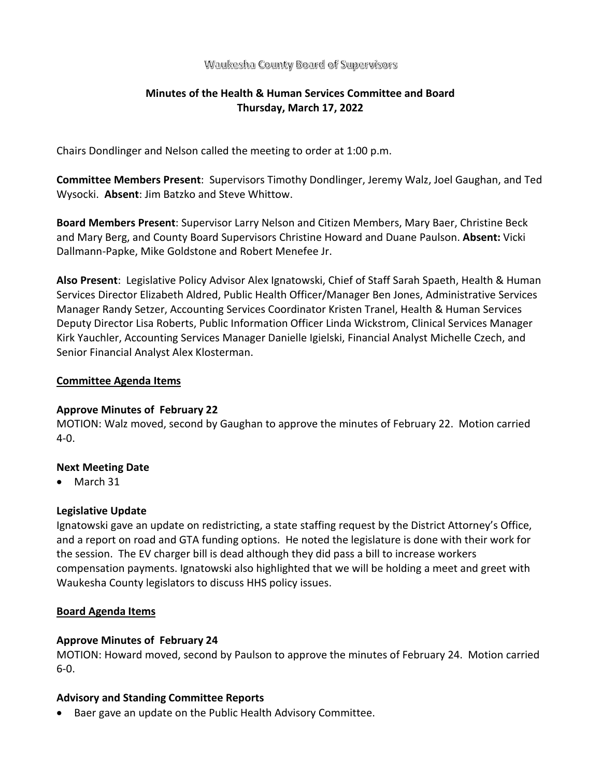### Waukesha County Board of Supervisors

# **Minutes of the Health & Human Services Committee and Board Thursday, March 17, 2022**

Chairs Dondlinger and Nelson called the meeting to order at 1:00 p.m.

**Committee Members Present**: Supervisors Timothy Dondlinger, Jeremy Walz, Joel Gaughan, and Ted Wysocki. **Absent**: Jim Batzko and Steve Whittow.

**Board Members Present**: Supervisor Larry Nelson and Citizen Members, Mary Baer, Christine Beck and Mary Berg, and County Board Supervisors Christine Howard and Duane Paulson. **Absent:** Vicki Dallmann-Papke, Mike Goldstone and Robert Menefee Jr.

**Also Present**: Legislative Policy Advisor Alex Ignatowski, Chief of Staff Sarah Spaeth, Health & Human Services Director Elizabeth Aldred, Public Health Officer/Manager Ben Jones, Administrative Services Manager Randy Setzer, Accounting Services Coordinator Kristen Tranel, Health & Human Services Deputy Director Lisa Roberts, Public Information Officer Linda Wickstrom, Clinical Services Manager Kirk Yauchler, Accounting Services Manager Danielle Igielski, Financial Analyst Michelle Czech, and Senior Financial Analyst Alex Klosterman.

#### **Committee Agenda Items**

## **Approve Minutes of February 22**

MOTION: Walz moved, second by Gaughan to approve the minutes of February 22. Motion carried 4-0.

## **Next Meeting Date**

• March 31

## **Legislative Update**

Ignatowski gave an update on redistricting, a state staffing request by the District Attorney's Office, and a report on road and GTA funding options. He noted the legislature is done with their work for the session. The EV charger bill is dead although they did pass a bill to increase workers compensation payments. Ignatowski also highlighted that we will be holding a meet and greet with Waukesha County legislators to discuss HHS policy issues.

## **Board Agenda Items**

## **Approve Minutes of February 24**

MOTION: Howard moved, second by Paulson to approve the minutes of February 24. Motion carried 6-0.

#### **Advisory and Standing Committee Reports**

• Baer gave an update on the Public Health Advisory Committee.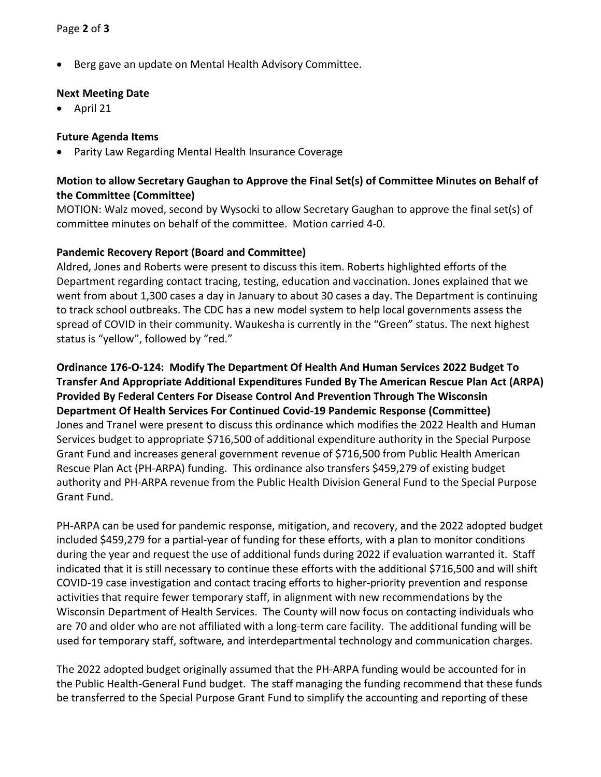Berg gave an update on Mental Health Advisory Committee.

#### **Next Meeting Date**

• April 21

## **Future Agenda Items**

• Parity Law Regarding Mental Health Insurance Coverage

# **Motion to allow Secretary Gaughan to Approve the Final Set(s) of Committee Minutes on Behalf of the Committee (Committee)**

MOTION: Walz moved, second by Wysocki to allow Secretary Gaughan to approve the final set(s) of committee minutes on behalf of the committee. Motion carried 4-0.

### **Pandemic Recovery Report (Board and Committee)**

Aldred, Jones and Roberts were present to discuss this item. Roberts highlighted efforts of the Department regarding contact tracing, testing, education and vaccination. Jones explained that we went from about 1,300 cases a day in January to about 30 cases a day. The Department is continuing to track school outbreaks. The CDC has a new model system to help local governments assess the spread of COVID in their community. Waukesha is currently in the "Green" status. The next highest status is "yellow", followed by "red."

**Ordinance 176-O-124: Modify The Department Of Health And Human Services 2022 Budget To Transfer And Appropriate Additional Expenditures Funded By The American Rescue Plan Act (ARPA) Provided By Federal Centers For Disease Control And Prevention Through The Wisconsin Department Of Health Services For Continued Covid-19 Pandemic Response (Committee)** Jones and Tranel were present to discuss this ordinance which modifies the 2022 Health and Human Services budget to appropriate \$716,500 of additional expenditure authority in the Special Purpose Grant Fund and increases general government revenue of \$716,500 from Public Health American Rescue Plan Act (PH-ARPA) funding. This ordinance also transfers \$459,279 of existing budget authority and PH-ARPA revenue from the Public Health Division General Fund to the Special Purpose Grant Fund.

PH-ARPA can be used for pandemic response, mitigation, and recovery, and the 2022 adopted budget included \$459,279 for a partial-year of funding for these efforts, with a plan to monitor conditions during the year and request the use of additional funds during 2022 if evaluation warranted it. Staff indicated that it is still necessary to continue these efforts with the additional \$716,500 and will shift COVID-19 case investigation and contact tracing efforts to higher-priority prevention and response activities that require fewer temporary staff, in alignment with new recommendations by the Wisconsin Department of Health Services. The County will now focus on contacting individuals who are 70 and older who are not affiliated with a long-term care facility. The additional funding will be used for temporary staff, software, and interdepartmental technology and communication charges.

The 2022 adopted budget originally assumed that the PH-ARPA funding would be accounted for in the Public Health-General Fund budget. The staff managing the funding recommend that these funds be transferred to the Special Purpose Grant Fund to simplify the accounting and reporting of these